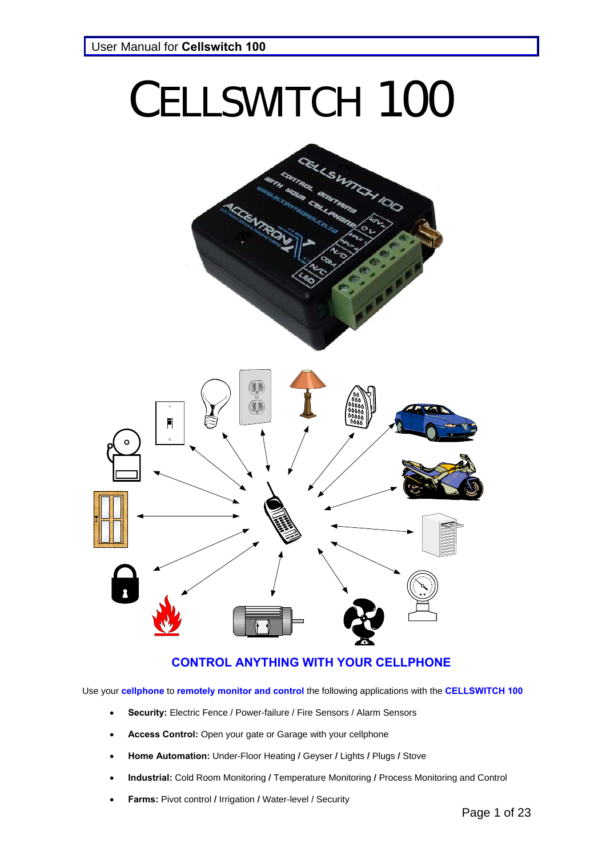# CELLSWITCH 100



## **CONTROL ANYTHING WITH YOUR CELLPHONE**

Use your **cellphone** to **remotely monitor and control** the following applications with the **CELLSWITCH 100**

- **Security:** Electric Fence / Power-failure / Fire Sensors / Alarm Sensors
- **Access Control:** Open your gate or Garage with your cellphone
- **Home Automation:** Under-Floor Heating **/** Geyser **/** Lights **/** Plugs **/** Stove
- **Industrial:** Cold Room Monitoring **/** Temperature Monitoring **/** Process Monitoring and Control
- **Farms:** Pivot control **/** Irrigation **/** Water-level / Security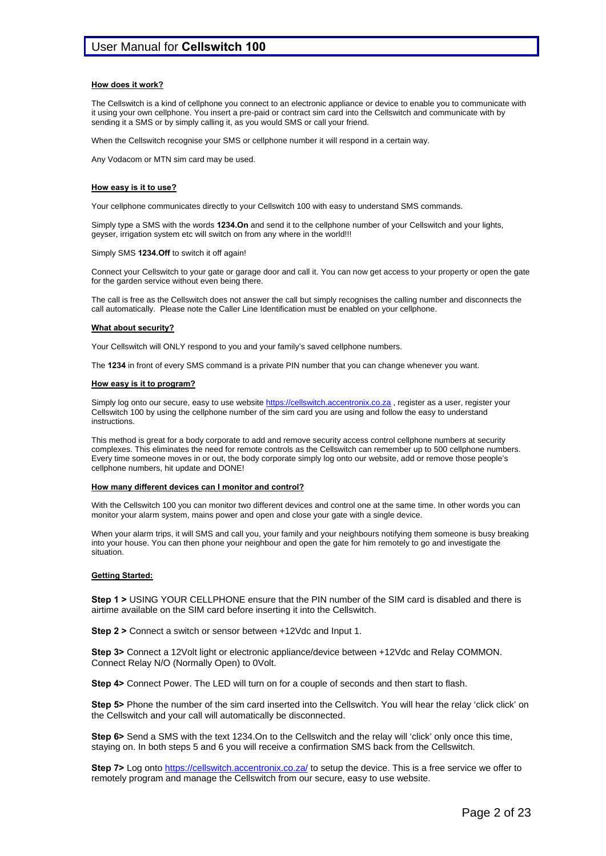#### **How does it work?**

The Cellswitch is a kind of cellphone you connect to an electronic appliance or device to enable you to communicate with it using your own cellphone. You insert a pre-paid or contract sim card into the Cellswitch and communicate with by sending it a SMS or by simply calling it, as you would SMS or call your friend.

When the Cellswitch recognise your SMS or cellphone number it will respond in a certain way.

Any Vodacom or MTN sim card may be used.

#### **How easy is it to use?**

Your cellphone communicates directly to your Cellswitch 100 with easy to understand SMS commands.

Simply type a SMS with the words **1234.On** and send it to the cellphone number of your Cellswitch and your lights, geyser, irrigation system etc will switch on from any where in the world!!!

#### Simply SMS **1234.Off** to switch it off again!

Connect your Cellswitch to your gate or garage door and call it. You can now get access to your property or open the gate for the garden service without even being there.

The call is free as the Cellswitch does not answer the call but simply recognises the calling number and disconnects the call automatically. Please note the Caller Line Identification must be enabled on your cellphone.

#### **What about security?**

Your Cellswitch will ONLY respond to you and your family's saved cellphone numbers.

The **1234** in front of every SMS command is a private PIN number that you can change whenever you want.

#### **How easy is it to program?**

Simply log onto our secure, easy to use website https://cellswitch.accentronix.co.za, register as a user, register your Cellswitch 100 by using the cellphone number of the sim card you are using and follow the easy to understand instructions.

This method is great for a body corporate to add and remove security access control cellphone numbers at security complexes. This eliminates the need for remote controls as the Cellswitch can remember up to 500 cellphone numbers. Every time someone moves in or out, the body corporate simply log onto our website, add or remove those people's cellphone numbers, hit update and DONE!

#### **How many different devices can I monitor and control?**

With the Cellswitch 100 you can monitor two different devices and control one at the same time. In other words you can monitor your alarm system, mains power and open and close your gate with a single device.

When your alarm trips, it will SMS and call you, your family and your neighbours notifying them someone is busy breaking into your house. You can then phone your neighbour and open the gate for him remotely to go and investigate the situation.

#### **Getting Started:**

**Step 1 >** USING YOUR CELLPHONE ensure that the PIN number of the SIM card is disabled and there is airtime available on the SIM card before inserting it into the Cellswitch.

**Step 2 >** Connect a switch or sensor between +12Vdc and Input 1.

**Step 3>** Connect a 12Volt light or electronic appliance/device between +12Vdc and Relay COMMON. Connect Relay N/O (Normally Open) to 0Volt.

**Step 4>** Connect Power. The LED will turn on for a couple of seconds and then start to flash.

**Step 5>** Phone the number of the sim card inserted into the Cellswitch. You will hear the relay 'click click' on the Cellswitch and your call will automatically be disconnected.

**Step 6>** Send a SMS with the text 1234.On to the Cellswitch and the relay will 'click' only once this time, staying on. In both steps 5 and 6 you will receive a confirmation SMS back from the Cellswitch.

**Step 7>** Log onto https://cellswitch.accentronix.co.za/ to setup the device. This is a free service we offer to remotely program and manage the Cellswitch from our secure, easy to use website.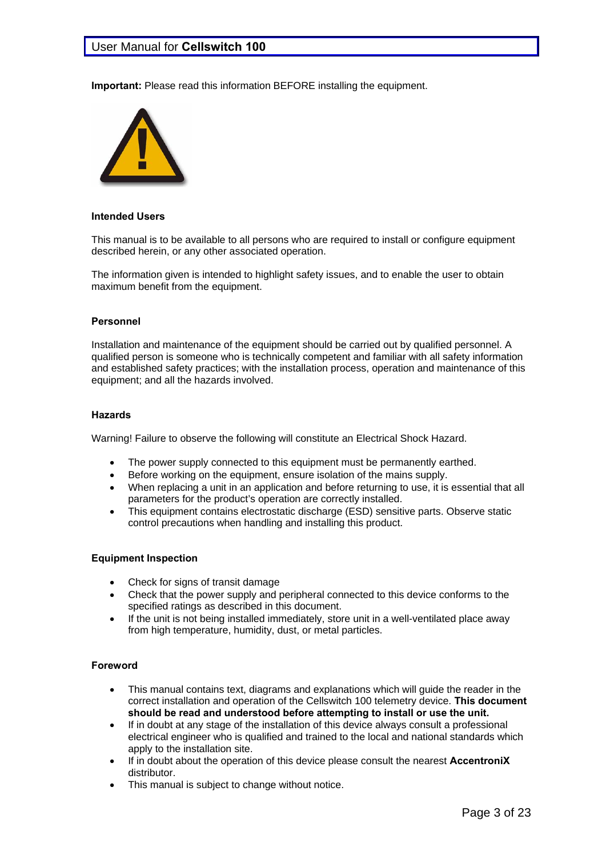**Important:** Please read this information BEFORE installing the equipment.



#### **Intended Users**

This manual is to be available to all persons who are required to install or configure equipment described herein, or any other associated operation.

The information given is intended to highlight safety issues, and to enable the user to obtain maximum benefit from the equipment.

#### **Personnel**

Installation and maintenance of the equipment should be carried out by qualified personnel. A qualified person is someone who is technically competent and familiar with all safety information and established safety practices; with the installation process, operation and maintenance of this equipment; and all the hazards involved.

#### **Hazards**

Warning! Failure to observe the following will constitute an Electrical Shock Hazard.

- The power supply connected to this equipment must be permanently earthed.
- Before working on the equipment, ensure isolation of the mains supply.
- When replacing a unit in an application and before returning to use, it is essential that all parameters for the product's operation are correctly installed.
- This equipment contains electrostatic discharge (ESD) sensitive parts. Observe static control precautions when handling and installing this product.

#### **Equipment Inspection**

- Check for signs of transit damage
- Check that the power supply and peripheral connected to this device conforms to the specified ratings as described in this document.
- If the unit is not being installed immediately, store unit in a well-ventilated place away from high temperature, humidity, dust, or metal particles.

#### **Foreword**

- This manual contains text, diagrams and explanations which will guide the reader in the correct installation and operation of the Cellswitch 100 telemetry device. **This document should be read and understood before attempting to install or use the unit.**
- If in doubt at any stage of the installation of this device always consult a professional electrical engineer who is qualified and trained to the local and national standards which apply to the installation site.
- If in doubt about the operation of this device please consult the nearest **AccentroniX** distributor.
- This manual is subject to change without notice.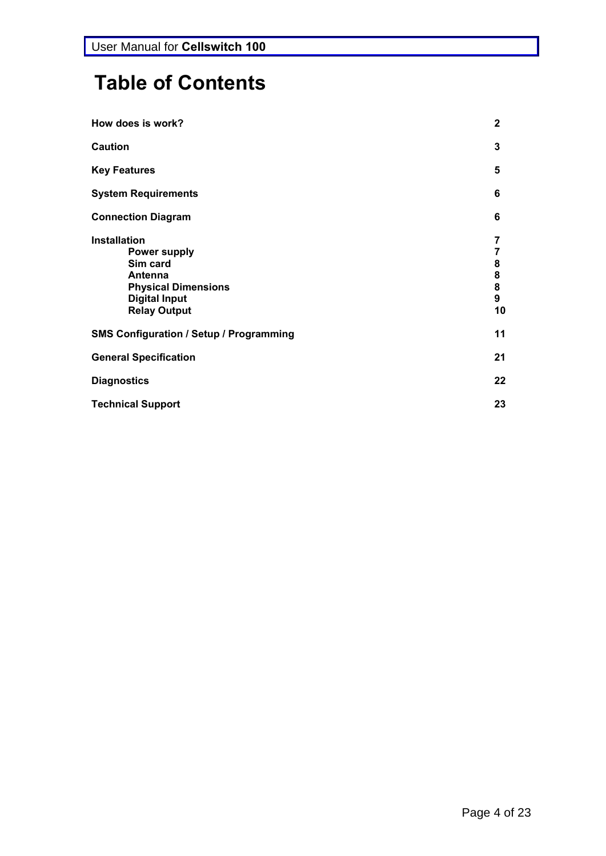# **Table of Contents**

| How does is work?                                                                                                                              | $\mathbf 2$                                                                |
|------------------------------------------------------------------------------------------------------------------------------------------------|----------------------------------------------------------------------------|
| <b>Caution</b>                                                                                                                                 | 3                                                                          |
| <b>Key Features</b>                                                                                                                            | 5                                                                          |
| <b>System Requirements</b>                                                                                                                     | 6                                                                          |
| <b>Connection Diagram</b>                                                                                                                      | 6                                                                          |
| <b>Installation</b><br><b>Power supply</b><br>Sim card<br>Antenna<br><b>Physical Dimensions</b><br><b>Digital Input</b><br><b>Relay Output</b> | 7<br>7<br>8<br>$\begin{array}{c} 8 \\ 8 \end{array}$<br>$\mathbf{9}$<br>10 |
| <b>SMS Configuration / Setup / Programming</b>                                                                                                 | 11                                                                         |
| <b>General Specification</b>                                                                                                                   | 21                                                                         |
| <b>Diagnostics</b>                                                                                                                             | 22                                                                         |
| <b>Technical Support</b>                                                                                                                       | 23                                                                         |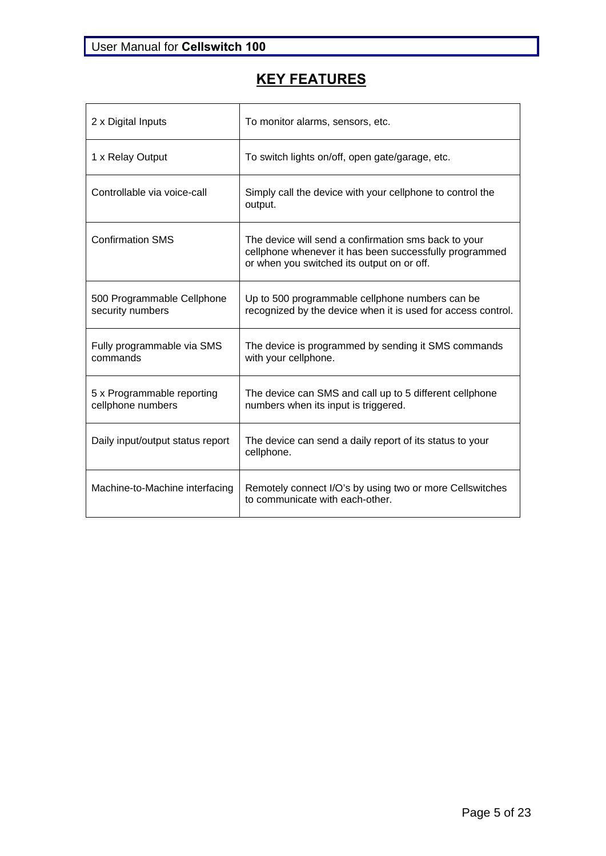# **KEY FEATURES**

| 2 x Digital Inputs                              | To monitor alarms, sensors, etc.                                                                                                                             |
|-------------------------------------------------|--------------------------------------------------------------------------------------------------------------------------------------------------------------|
| 1 x Relay Output                                | To switch lights on/off, open gate/garage, etc.                                                                                                              |
| Controllable via voice-call                     | Simply call the device with your cellphone to control the<br>output.                                                                                         |
| <b>Confirmation SMS</b>                         | The device will send a confirmation sms back to your<br>cellphone whenever it has been successfully programmed<br>or when you switched its output on or off. |
| 500 Programmable Cellphone<br>security numbers  | Up to 500 programmable cellphone numbers can be<br>recognized by the device when it is used for access control.                                              |
| Fully programmable via SMS<br>commands          | The device is programmed by sending it SMS commands<br>with your cellphone.                                                                                  |
| 5 x Programmable reporting<br>cellphone numbers | The device can SMS and call up to 5 different cellphone<br>numbers when its input is triggered.                                                              |
| Daily input/output status report                | The device can send a daily report of its status to your<br>cellphone.                                                                                       |
| Machine-to-Machine interfacing                  | Remotely connect I/O's by using two or more Cellswitches<br>to communicate with each-other.                                                                  |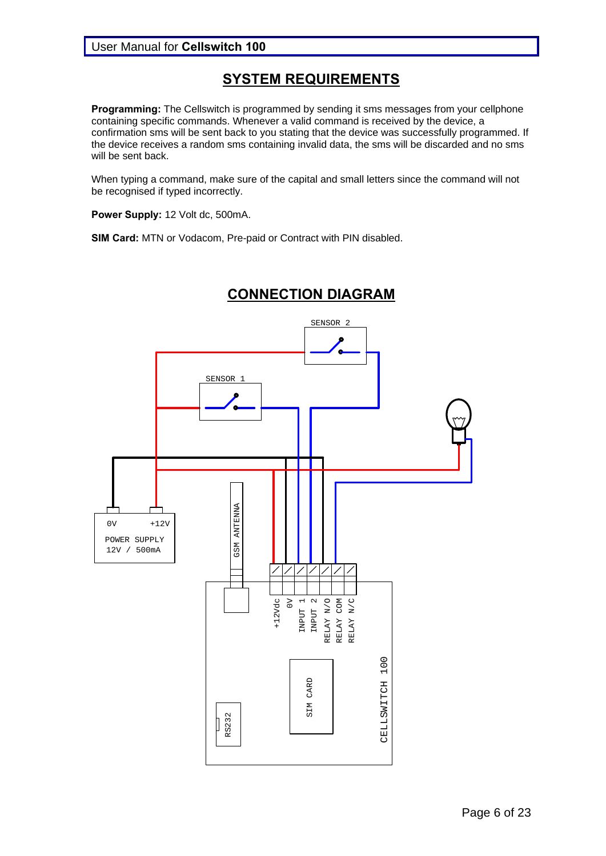## **SYSTEM REQUIREMENTS**

**Programming:** The Cellswitch is programmed by sending it sms messages from your cellphone containing specific commands. Whenever a valid command is received by the device, a confirmation sms will be sent back to you stating that the device was successfully programmed. If the device receives a random sms containing invalid data, the sms will be discarded and no sms will be sent back.

When typing a command, make sure of the capital and small letters since the command will not be recognised if typed incorrectly.

Power Supply: 12 Volt dc, 500mA.

**SIM Card:** MTN or Vodacom, Pre-paid or Contract with PIN disabled.



# **CONNECTION DIAGRAM**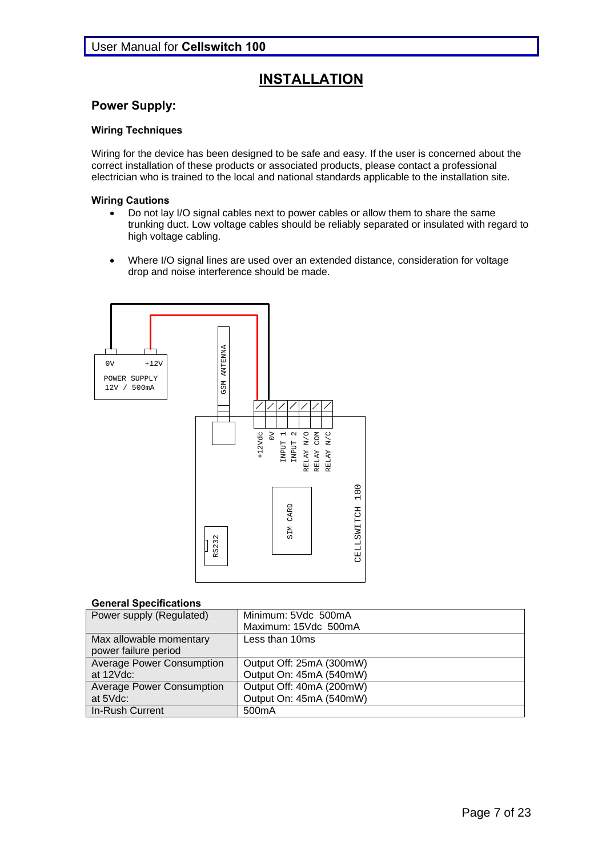# **INSTALLATION**

#### **Power Supply:**

#### **Wiring Techniques**

Wiring for the device has been designed to be safe and easy. If the user is concerned about the correct installation of these products or associated products, please contact a professional electrician who is trained to the local and national standards applicable to the installation site.

#### **Wiring Cautions**

- Do not lay I/O signal cables next to power cables or allow them to share the same trunking duct. Low voltage cables should be reliably separated or insulated with regard to high voltage cabling.
- Where I/O signal lines are used over an extended distance, consideration for voltage drop and noise interference should be made.



#### **General Specifications**

| Power supply (Regulated)                        | Minimum: 5Vdc 500mA<br>Maximum: 15Vdc 500mA         |
|-------------------------------------------------|-----------------------------------------------------|
| Max allowable momentary<br>power failure period | Less than 10ms                                      |
| <b>Average Power Consumption</b><br>at 12Vdc:   | Output Off: 25mA (300mW)<br>Output On: 45mA (540mW) |
| <b>Average Power Consumption</b><br>at 5Vdc:    | Output Off: 40mA (200mW)<br>Output On: 45mA (540mW) |
| In-Rush Current                                 | 500 <sub>m</sub> A                                  |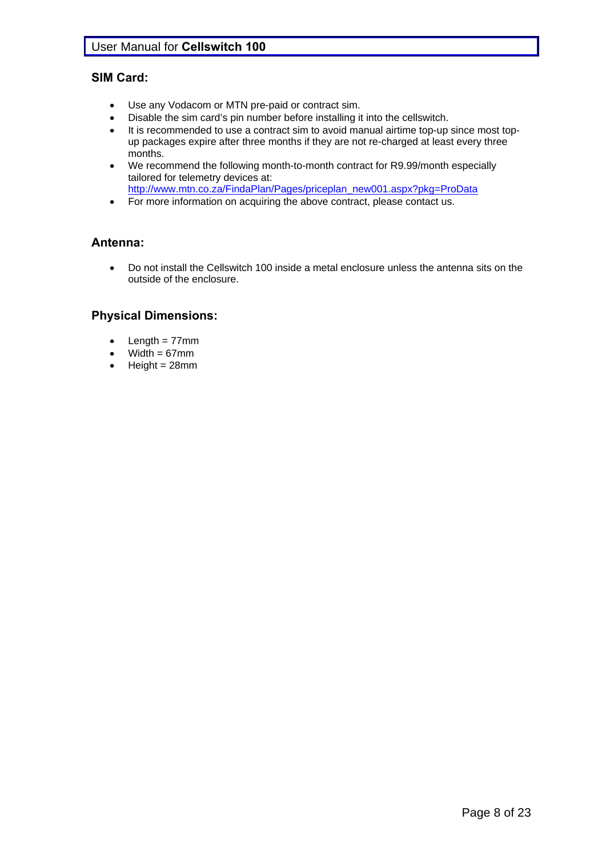## **SIM Card:**

- Use any Vodacom or MTN pre-paid or contract sim.
- Disable the sim card's pin number before installing it into the cellswitch.
- It is recommended to use a contract sim to avoid manual airtime top-up since most topup packages expire after three months if they are not re-charged at least every three months.
- We recommend the following month-to-month contract for R9.99/month especially tailored for telemetry devices at: http://www.mtn.co.za/FindaPlan/Pages/priceplan\_new001.aspx?pkg=ProData
- For more information on acquiring the above contract, please contact us.

## **Antenna:**

 Do not install the Cellswitch 100 inside a metal enclosure unless the antenna sits on the outside of the enclosure.

## **Physical Dimensions:**

- Length  $= 77$ mm
- $Width = 67mm$
- $\bullet$  Height = 28mm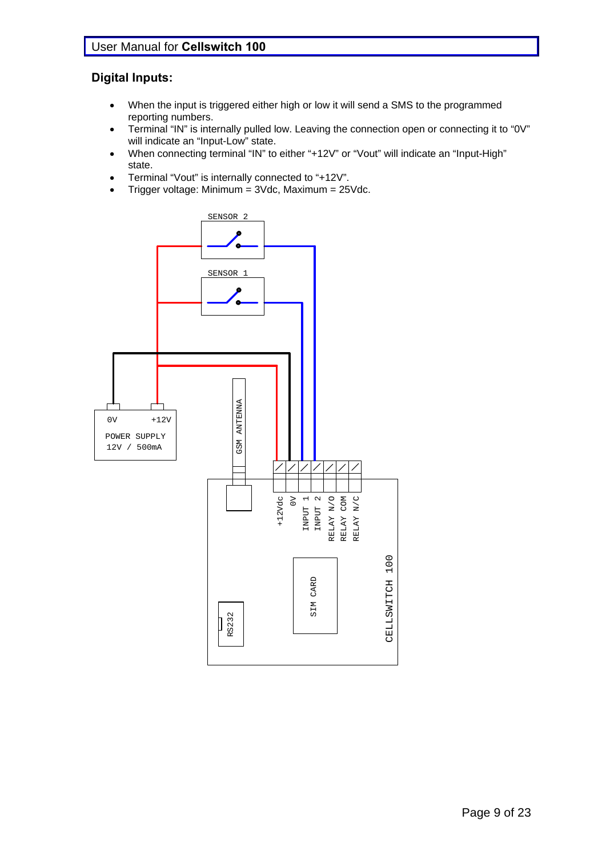## **Digital Inputs:**

- When the input is triggered either high or low it will send a SMS to the programmed reporting numbers.
- Terminal "IN" is internally pulled low. Leaving the connection open or connecting it to "0V" will indicate an "Input-Low" state.
- When connecting terminal "IN" to either "+12V" or "Vout" will indicate an "Input-High" state.
- Terminal "Vout" is internally connected to "+12V".
- Trigger voltage: Minimum = 3Vdc, Maximum = 25Vdc.

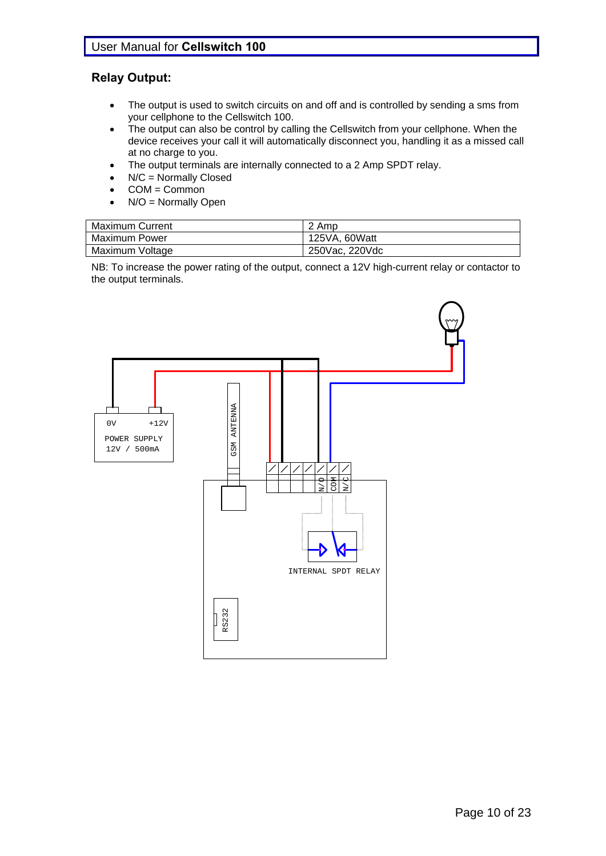## **Relay Output:**

- The output is used to switch circuits on and off and is controlled by sending a sms from your cellphone to the Cellswitch 100.
- The output can also be control by calling the Cellswitch from your cellphone. When the device receives your call it will automatically disconnect you, handling it as a missed call at no charge to you.
- The output terminals are internally connected to a 2 Amp SPDT relay.
- N/C = Normally Closed
- COM = Common
- N/O = Normally Open

| <b>Maximum Current</b> | 2 Amp          |
|------------------------|----------------|
| <b>Maximum Power</b>   | 125VA, 60Watt  |
| Maximum Voltage        | 250Vac, 220Vdc |

NB: To increase the power rating of the output, connect a 12V high-current relay or contactor to the output terminals.

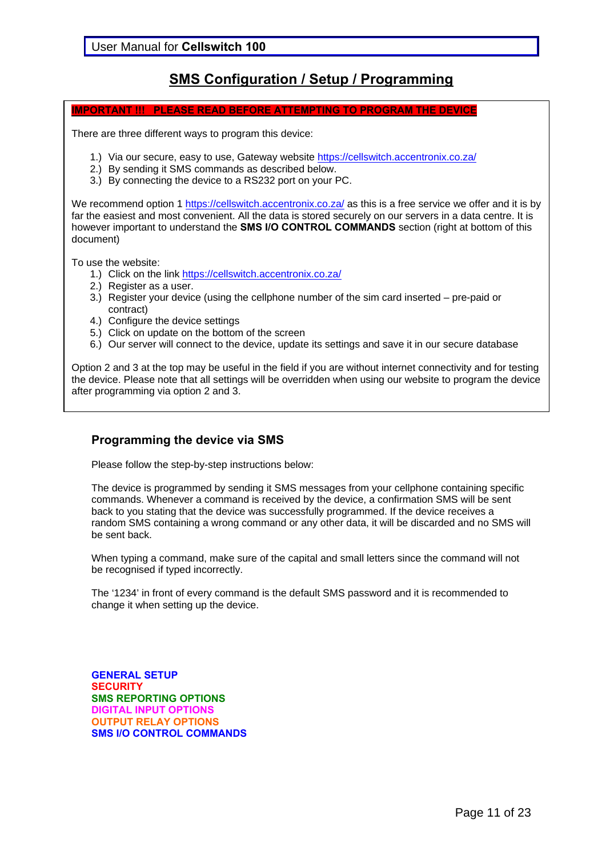## **SMS Configuration / Setup / Programming**

#### **IMPORTANT !!! PLEASE READ BEFORE ATTEMPTING TO PROGRAM THE DEVICE**

There are three different ways to program this device:

- 1.) Via our secure, easy to use, Gateway website https://cellswitch.accentronix.co.za/
- 2.) By sending it SMS commands as described below.
- 3.) By connecting the device to a RS232 port on your PC.

We recommend option 1 https://cellswitch.accentronix.co.za/ as this is a free service we offer and it is by far the easiest and most convenient. All the data is stored securely on our servers in a data centre. It is however important to understand the **SMS I/O CONTROL COMMANDS** section (right at bottom of this document)

To use the website:

- 1.) Click on the link https://cellswitch.accentronix.co.za/
- 2.) Register as a user.
- 3.) Register your device (using the cellphone number of the sim card inserted pre-paid or contract)
- 4.) Configure the device settings
- 5.) Click on update on the bottom of the screen
- 6.) Our server will connect to the device, update its settings and save it in our secure database

Option 2 and 3 at the top may be useful in the field if you are without internet connectivity and for testing the device. Please note that all settings will be overridden when using our website to program the device after programming via option 2 and 3.

## **Programming the device via SMS**

Please follow the step-by-step instructions below:

The device is programmed by sending it SMS messages from your cellphone containing specific commands. Whenever a command is received by the device, a confirmation SMS will be sent back to you stating that the device was successfully programmed. If the device receives a random SMS containing a wrong command or any other data, it will be discarded and no SMS will be sent back.

When typing a command, make sure of the capital and small letters since the command will not be recognised if typed incorrectly.

The '1234' in front of every command is the default SMS password and it is recommended to change it when setting up the device.

**GENERAL SETUP SECURITY SMS REPORTING OPTIONS DIGITAL INPUT OPTIONS OUTPUT RELAY OPTIONS SMS I/O CONTROL COMMANDS**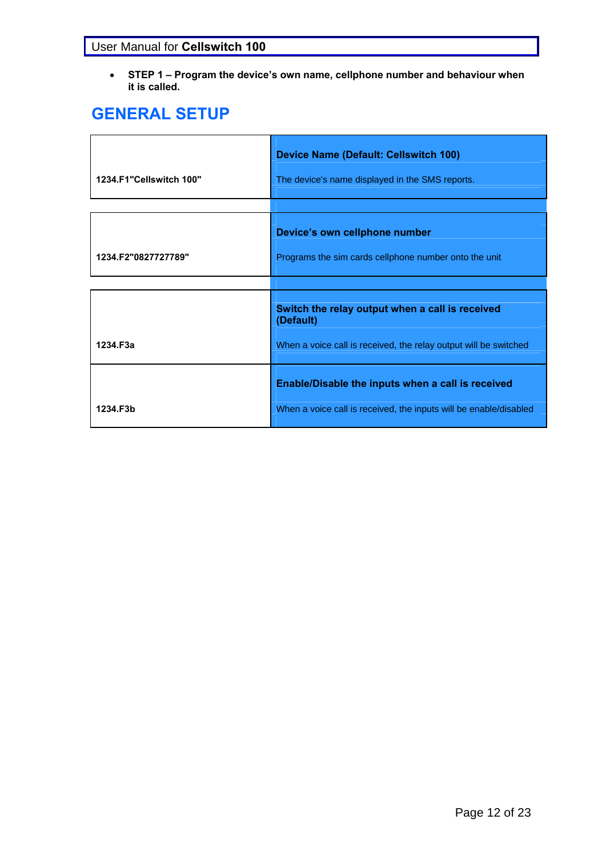**STEP 1 – Program the device's own name, cellphone number and behaviour when it is called.** 

# **GENERAL SETUP**

| 1234.F1"Cellswitch 100" | <b>Device Name (Default: Cellswitch 100)</b><br>The device's name displayed in the SMS reports. |
|-------------------------|-------------------------------------------------------------------------------------------------|
|                         |                                                                                                 |
|                         | Device's own cellphone number                                                                   |
| 1234.F2"0827727789"     | Programs the sim cards cellphone number onto the unit                                           |
|                         |                                                                                                 |
|                         | Switch the relay output when a call is received<br>(Default)                                    |
| 1234.F3a                | When a voice call is received, the relay output will be switched                                |
|                         | Enable/Disable the inputs when a call is received                                               |
| 1234.F3b                | When a voice call is received, the inputs will be enable/disabled                               |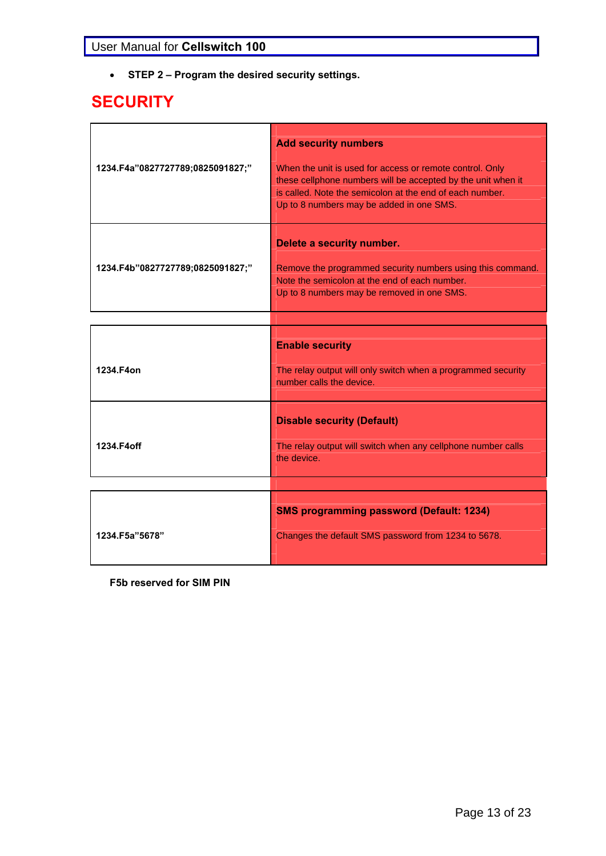**STEP 2 – Program the desired security settings.** 

# **SECURITY**

| 1234.F4a"0827727789;0825091827;" | <b>Add security numbers</b><br>When the unit is used for access or remote control. Only<br>these cellphone numbers will be accepted by the unit when it<br>is called. Note the semicolon at the end of each number.<br>Up to 8 numbers may be added in one SMS. |
|----------------------------------|-----------------------------------------------------------------------------------------------------------------------------------------------------------------------------------------------------------------------------------------------------------------|
| 1234.F4b"0827727789;0825091827;" | Delete a security number.<br>Remove the programmed security numbers using this command.<br>Note the semicolon at the end of each number.<br>Up to 8 numbers may be removed in one SMS.                                                                          |
| 1234.F4on                        | <b>Enable security</b><br>The relay output will only switch when a programmed security<br>number calls the device.                                                                                                                                              |
| 1234.F4off                       | <b>Disable security (Default)</b><br>The relay output will switch when any cellphone number calls<br>the device.                                                                                                                                                |
| 1234.F5a"5678"                   | <b>SMS programming password (Default: 1234)</b><br>Changes the default SMS password from 1234 to 5678.                                                                                                                                                          |

**F5b reserved for SIM PIN**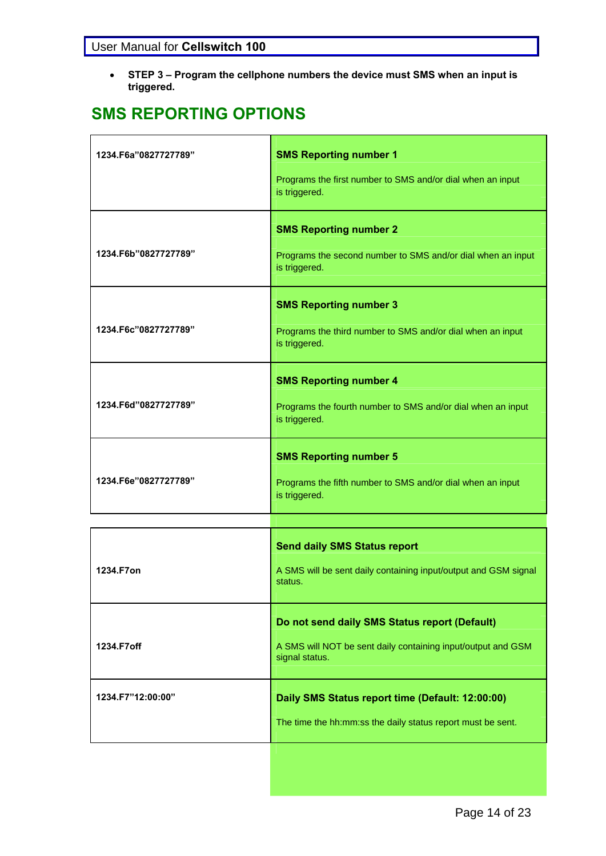**STEP 3 – Program the cellphone numbers the device must SMS when an input is triggered.** 

# **SMS REPORTING OPTIONS**

| 1234.F6a"0827727789" | <b>SMS Reporting number 1</b>                                                  |
|----------------------|--------------------------------------------------------------------------------|
|                      | Programs the first number to SMS and/or dial when an input<br>is triggered.    |
|                      | <b>SMS Reporting number 2</b>                                                  |
| 1234.F6b"0827727789" | Programs the second number to SMS and/or dial when an input<br>is triggered.   |
|                      | <b>SMS Reporting number 3</b>                                                  |
| 1234.F6c"0827727789" | Programs the third number to SMS and/or dial when an input<br>is triggered.    |
|                      | <b>SMS Reporting number 4</b>                                                  |
| 1234.F6d"0827727789" | Programs the fourth number to SMS and/or dial when an input<br>is triggered.   |
|                      | <b>SMS Reporting number 5</b>                                                  |
| 1234.F6e"0827727789" | Programs the fifth number to SMS and/or dial when an input<br>is triggered.    |
|                      |                                                                                |
|                      | <b>Send daily SMS Status report</b>                                            |
| 1234.F7on            | A SMS will be sent daily containing input/output and GSM signal<br>status.     |
|                      | Do not send daily SMS Status report (Default)                                  |
| 1234.F7off           | A SMS will NOT be sent daily containing input/output and GSM<br>signal status. |
| 1234.F7"12:00:00"    | Daily SMS Status report time (Default: 12:00:00)                               |
|                      | The time the hh:mm:ss the daily status report must be sent.                    |
|                      |                                                                                |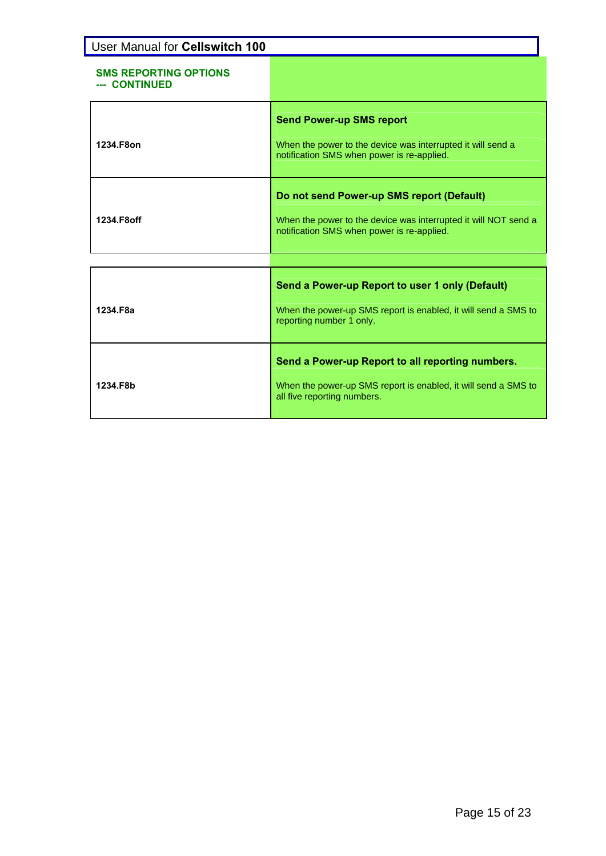| User Manual for Cellswitch 100                |                                                                                                                                                            |
|-----------------------------------------------|------------------------------------------------------------------------------------------------------------------------------------------------------------|
| <b>SMS REPORTING OPTIONS</b><br>--- CONTINUED |                                                                                                                                                            |
| 1234.F8on                                     | <b>Send Power-up SMS report</b><br>When the power to the device was interrupted it will send a<br>notification SMS when power is re-applied.               |
| 1234.F8off                                    | Do not send Power-up SMS report (Default)<br>When the power to the device was interrupted it will NOT send a<br>notification SMS when power is re-applied. |
|                                               |                                                                                                                                                            |
| 1234.F8a                                      | Send a Power-up Report to user 1 only (Default)<br>When the power-up SMS report is enabled, it will send a SMS to<br>reporting number 1 only.              |
| 1234.F8b                                      | Send a Power-up Report to all reporting numbers.<br>When the power-up SMS report is enabled, it will send a SMS to<br>all five reporting numbers.          |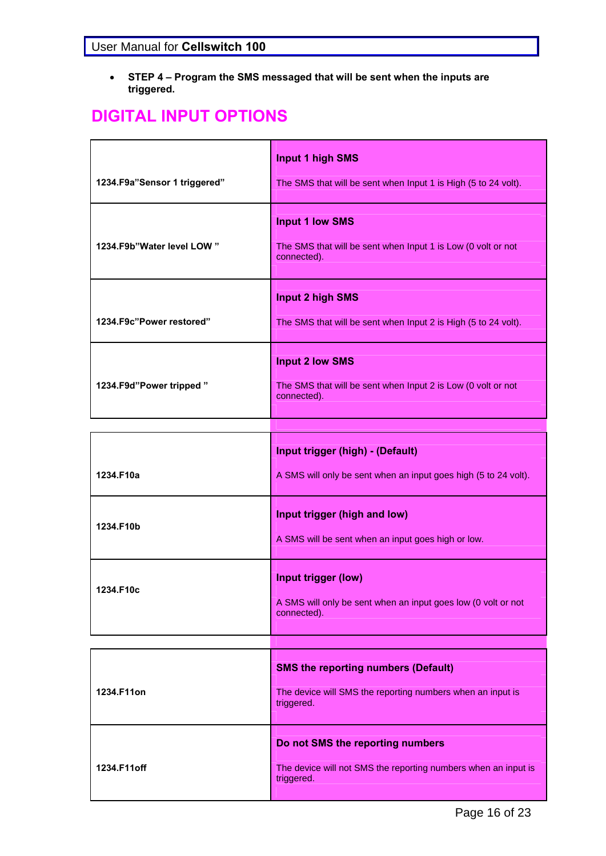**STEP 4 – Program the SMS messaged that will be sent when the inputs are triggered.** 

# **DIGITAL INPUT OPTIONS**

| 1234.F9a"Sensor 1 triggered" | <b>Input 1 high SMS</b><br>The SMS that will be sent when Input 1 is High (5 to 24 volt).             |
|------------------------------|-------------------------------------------------------------------------------------------------------|
| 1234.F9b"Water level LOW"    | <b>Input 1 low SMS</b><br>The SMS that will be sent when Input 1 is Low (0 volt or not<br>connected). |
| 1234.F9c"Power restored"     | <b>Input 2 high SMS</b><br>The SMS that will be sent when Input 2 is High (5 to 24 volt).             |
| 1234. F9d" Power tripped"    | <b>Input 2 low SMS</b><br>The SMS that will be sent when Input 2 is Low (0 volt or not<br>connected). |

|           | Input trigger (high) - (Default)                                                                    |
|-----------|-----------------------------------------------------------------------------------------------------|
| 1234.F10a | A SMS will only be sent when an input goes high (5 to 24 volt).                                     |
| 1234.F10b | Input trigger (high and low)<br>A SMS will be sent when an input goes high or low.                  |
| 1234.F10c | Input trigger (low)<br>A SMS will only be sent when an input goes low (0 volt or not<br>connected). |

| 1234.F11on  | <b>SMS the reporting numbers (Default)</b><br>The device will SMS the reporting numbers when an input is<br>triggered. |
|-------------|------------------------------------------------------------------------------------------------------------------------|
| 1234.F11off | Do not SMS the reporting numbers<br>The device will not SMS the reporting numbers when an input is<br>triggered.       |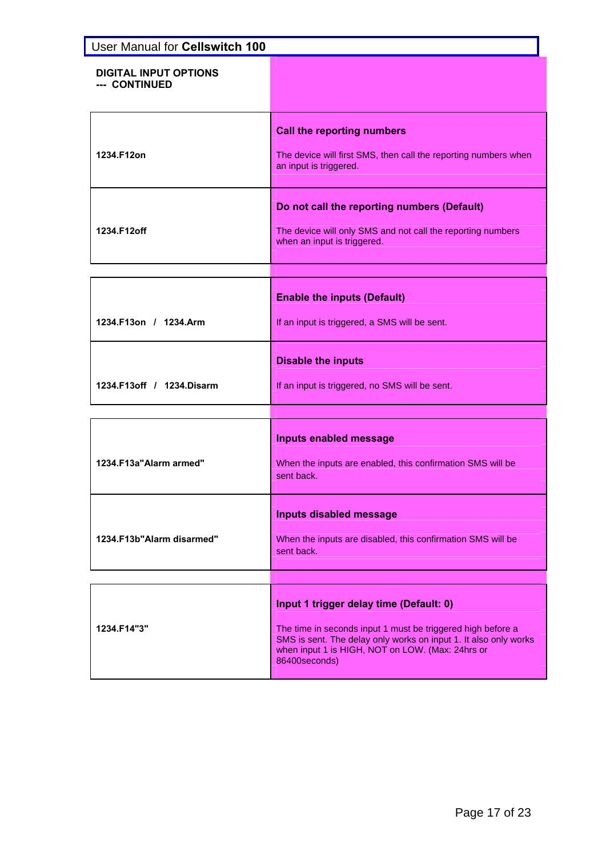| User Manual for Cellswitch 100                |                                                                                                                                                                                                                                                 |
|-----------------------------------------------|-------------------------------------------------------------------------------------------------------------------------------------------------------------------------------------------------------------------------------------------------|
| <b>DIGITAL INPUT OPTIONS</b><br>--- CONTINUED |                                                                                                                                                                                                                                                 |
| 1234.F12on                                    | <b>Call the reporting numbers</b><br>The device will first SMS, then call the reporting numbers when<br>an input is triggered.                                                                                                                  |
| 1234.F12off                                   | Do not call the reporting numbers (Default)<br>The device will only SMS and not call the reporting numbers<br>when an input is triggered.                                                                                                       |
| 1234.F13on / 1234.Arm                         | <b>Enable the inputs (Default)</b><br>If an input is triggered, a SMS will be sent.                                                                                                                                                             |
| 1234.F13off / 1234.Disarm                     | <b>Disable the inputs</b><br>If an input is triggered, no SMS will be sent.                                                                                                                                                                     |
|                                               |                                                                                                                                                                                                                                                 |
| 1234.F13a"Alarm armed"                        | <b>Inputs enabled message</b><br>When the inputs are enabled, this confirmation SMS will be<br>sent back.                                                                                                                                       |
| 1234.F13b"Alarm disarmed"                     | <b>Inputs disabled message</b><br>When the inputs are disabled, this confirmation SMS will be<br>sent back.                                                                                                                                     |
|                                               |                                                                                                                                                                                                                                                 |
| 1234.F14"3"                                   | Input 1 trigger delay time (Default: 0)<br>The time in seconds input 1 must be triggered high before a<br>SMS is sent. The delay only works on input 1. It also only works<br>when input 1 is HIGH, NOT on LOW. (Max: 24hrs or<br>86400seconds) |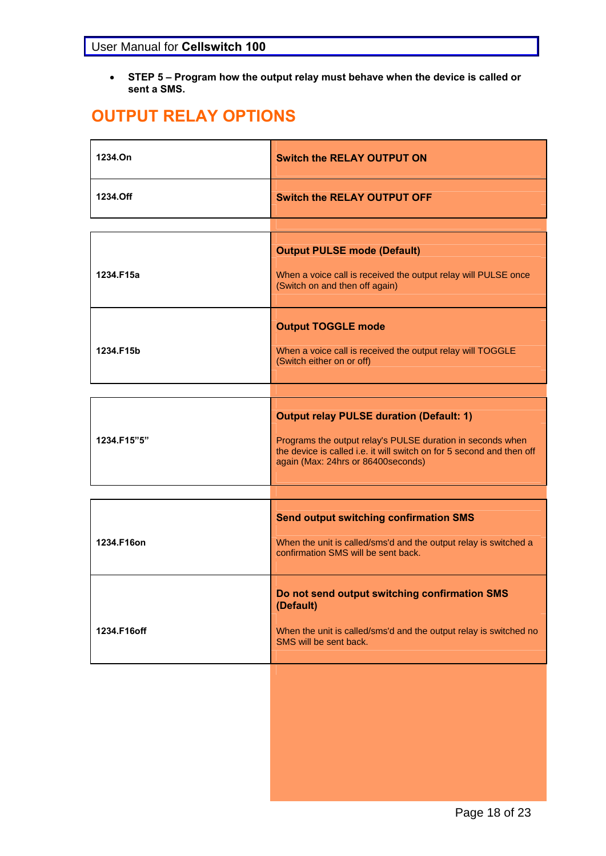**STEP 5 – Program how the output relay must behave when the device is called or sent a SMS.** 

# **OUTPUT RELAY OPTIONS**

| 1234.On     | <b>Switch the RELAY OUTPUT ON</b>                                                                                                                                                                                            |
|-------------|------------------------------------------------------------------------------------------------------------------------------------------------------------------------------------------------------------------------------|
| 1234.Off    | <b>Switch the RELAY OUTPUT OFF</b>                                                                                                                                                                                           |
|             |                                                                                                                                                                                                                              |
| 1234.F15a   | <b>Output PULSE mode (Default)</b><br>When a voice call is received the output relay will PULSE once<br>(Switch on and then off again)                                                                                       |
|             | <b>Output TOGGLE mode</b>                                                                                                                                                                                                    |
| 1234.F15b   | When a voice call is received the output relay will TOGGLE<br>(Switch either on or off)                                                                                                                                      |
|             |                                                                                                                                                                                                                              |
| 1234.F15"5" | <b>Output relay PULSE duration (Default: 1)</b><br>Programs the output relay's PULSE duration in seconds when<br>the device is called i.e. it will switch on for 5 second and then off<br>again (Max: 24hrs or 86400seconds) |
|             |                                                                                                                                                                                                                              |
| 1234.F16on  | <b>Send output switching confirmation SMS</b><br>When the unit is called/sms'd and the output relay is switched a<br>confirmation SMS will be sent back.                                                                     |
| 1234.F16off | Do not send output switching confirmation SMS<br>(Default)<br>When the unit is called/sms'd and the output relay is switched no<br>SMS will be sent back.                                                                    |
|             |                                                                                                                                                                                                                              |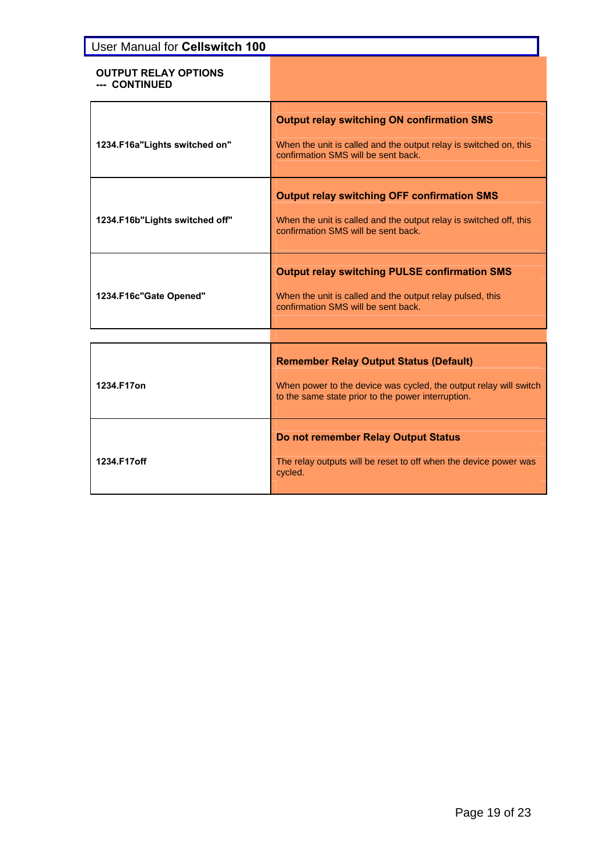| User Manual for Cellswitch 100               |                                                                                                                                                                          |
|----------------------------------------------|--------------------------------------------------------------------------------------------------------------------------------------------------------------------------|
| <b>OUTPUT RELAY OPTIONS</b><br>--- CONTINUED |                                                                                                                                                                          |
| 1234.F16a"Lights switched on"                | <b>Output relay switching ON confirmation SMS</b><br>When the unit is called and the output relay is switched on, this<br>confirmation SMS will be sent back.            |
| 1234.F16b"Lights switched off"               | <b>Output relay switching OFF confirmation SMS</b><br>When the unit is called and the output relay is switched off, this<br>confirmation SMS will be sent back.          |
| 1234.F16c"Gate Opened"                       | <b>Output relay switching PULSE confirmation SMS</b><br>When the unit is called and the output relay pulsed, this<br>confirmation SMS will be sent back.                 |
| 1234.F17on                                   | <b>Remember Relay Output Status (Default)</b><br>When power to the device was cycled, the output relay will switch<br>to the same state prior to the power interruption. |
| 1234.F17off                                  | Do not remember Relay Output Status<br>The relay outputs will be reset to off when the device power was<br>cycled.                                                       |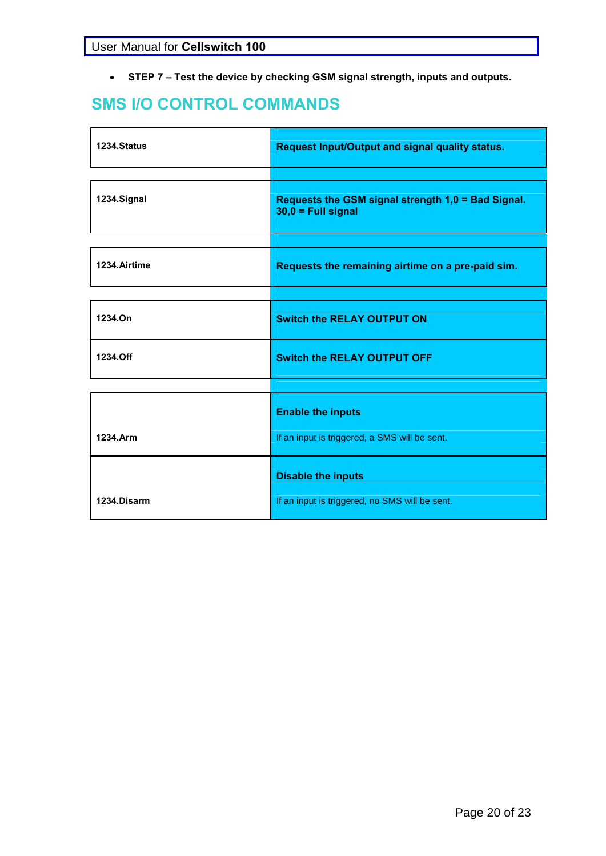**STEP 7 – Test the device by checking GSM signal strength, inputs and outputs.** 

# **SMS I/O CONTROL COMMANDS**

| 1234.Status  | Request Input/Output and signal quality status.                            |
|--------------|----------------------------------------------------------------------------|
|              |                                                                            |
| 1234.Signal  | Requests the GSM signal strength 1,0 = Bad Signal.<br>$30,0 = Full signal$ |
|              |                                                                            |
| 1234.Airtime | Requests the remaining airtime on a pre-paid sim.                          |
|              |                                                                            |
| 1234.On      | <b>Switch the RELAY OUTPUT ON</b>                                          |
| 1234.Off     | <b>Switch the RELAY OUTPUT OFF</b>                                         |
|              |                                                                            |
| 1234.Arm     | <b>Enable the inputs</b><br>If an input is triggered, a SMS will be sent.  |
|              |                                                                            |
|              | <b>Disable the inputs</b>                                                  |
| 1234.Disarm  | If an input is triggered, no SMS will be sent.                             |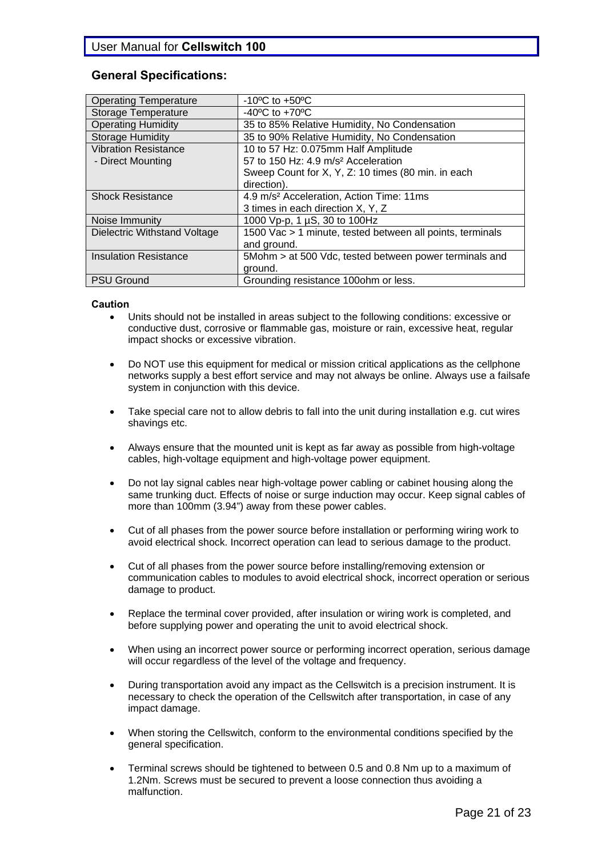#### **General Specifications:**

| <b>Operating Temperature</b> | $-10^{\circ}$ C to $+50^{\circ}$ C                        |
|------------------------------|-----------------------------------------------------------|
| <b>Storage Temperature</b>   | -40 $^{\circ}$ C to +70 $^{\circ}$ C                      |
| <b>Operating Humidity</b>    | 35 to 85% Relative Humidity, No Condensation              |
| <b>Storage Humidity</b>      | 35 to 90% Relative Humidity, No Condensation              |
| <b>Vibration Resistance</b>  | 10 to 57 Hz: 0.075mm Half Amplitude                       |
| - Direct Mounting            | 57 to 150 Hz: 4.9 m/s <sup>2</sup> Acceleration           |
|                              | Sweep Count for X, Y, Z: 10 times (80 min. in each        |
|                              | direction).                                               |
| <b>Shock Resistance</b>      | 4.9 m/s <sup>2</sup> Acceleration, Action Time: 11ms      |
|                              | 3 times in each direction X, Y, Z                         |
| Noise Immunity               | 1000 Vp-p, 1 µS, 30 to 100Hz                              |
| Dielectric Withstand Voltage | 1500 Vac > 1 minute, tested between all points, terminals |
|                              | and ground.                                               |
| <b>Insulation Resistance</b> | 5Mohm > at 500 Vdc, tested between power terminals and    |
|                              | ground.                                                   |
| <b>PSU Ground</b>            | Grounding resistance 100ohm or less.                      |

#### **Caution**

- Units should not be installed in areas subject to the following conditions: excessive or conductive dust, corrosive or flammable gas, moisture or rain, excessive heat, regular impact shocks or excessive vibration.
- Do NOT use this equipment for medical or mission critical applications as the cellphone networks supply a best effort service and may not always be online. Always use a failsafe system in conjunction with this device.
- Take special care not to allow debris to fall into the unit during installation e.g. cut wires shavings etc.
- Always ensure that the mounted unit is kept as far away as possible from high-voltage cables, high-voltage equipment and high-voltage power equipment.
- Do not lay signal cables near high-voltage power cabling or cabinet housing along the same trunking duct. Effects of noise or surge induction may occur. Keep signal cables of more than 100mm (3.94") away from these power cables.
- Cut of all phases from the power source before installation or performing wiring work to avoid electrical shock. Incorrect operation can lead to serious damage to the product.
- Cut of all phases from the power source before installing/removing extension or communication cables to modules to avoid electrical shock, incorrect operation or serious damage to product.
- Replace the terminal cover provided, after insulation or wiring work is completed, and before supplying power and operating the unit to avoid electrical shock.
- When using an incorrect power source or performing incorrect operation, serious damage will occur regardless of the level of the voltage and frequency.
- During transportation avoid any impact as the Cellswitch is a precision instrument. It is necessary to check the operation of the Cellswitch after transportation, in case of any impact damage.
- When storing the Cellswitch, conform to the environmental conditions specified by the general specification.
- Terminal screws should be tightened to between 0.5 and 0.8 Nm up to a maximum of 1.2Nm. Screws must be secured to prevent a loose connection thus avoiding a malfunction.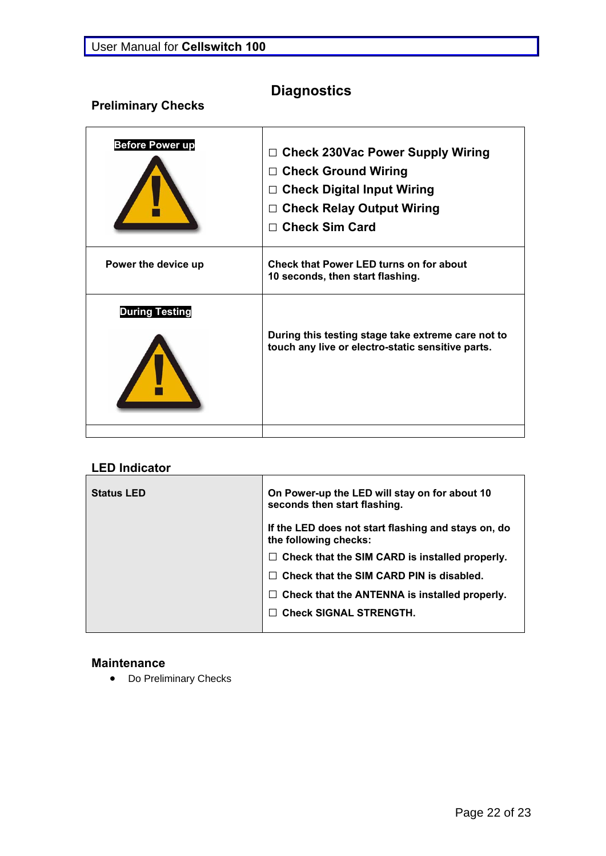# **Diagnostics**

# **Preliminary Checks**

| <b>Before Power up</b> | □ Check 230Vac Power Supply Wiring<br>$\Box$ Check Ground Wiring<br>$\Box$ Check Digital Input Wiring<br>□ Check Relay Output Wiring<br>$\Box$ Check Sim Card |
|------------------------|---------------------------------------------------------------------------------------------------------------------------------------------------------------|
| Power the device up    | Check that Power LED turns on for about<br>10 seconds, then start flashing.                                                                                   |
| <b>During Testing</b>  | During this testing stage take extreme care not to<br>touch any live or electro-static sensitive parts.                                                       |

## **LED Indicator**

| <b>Status LED</b> | On Power-up the LED will stay on for about 10<br>seconds then start flashing. |
|-------------------|-------------------------------------------------------------------------------|
|                   | If the LED does not start flashing and stays on, do<br>the following checks:  |
|                   | $\Box$ Check that the SIM CARD is installed properly.                         |
|                   | Check that the SIM CARD PIN is disabled.                                      |
|                   | Check that the ANTENNA is installed properly.                                 |
|                   | <b>Check SIGNAL STRENGTH.</b>                                                 |
|                   |                                                                               |

#### **Maintenance**

• Do Preliminary Checks